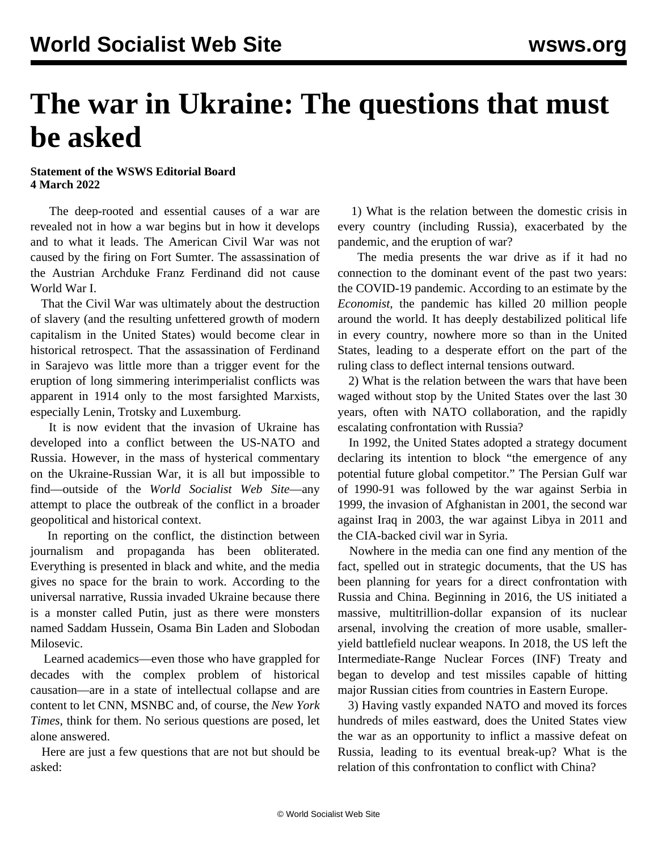## **The war in Ukraine: The questions that must be asked**

## **Statement of the WSWS Editorial Board 4 March 2022**

 The deep-rooted and essential causes of a war are revealed not in how a war begins but in how it develops and to what it leads. The American Civil War was not caused by the firing on Fort Sumter. The assassination of the Austrian Archduke Franz Ferdinand did not cause World War I.

 That the Civil War was ultimately about the destruction of slavery (and the resulting unfettered growth of modern capitalism in the United States) would become clear in historical retrospect. That the assassination of Ferdinand in Sarajevo was little more than a trigger event for the eruption of long simmering interimperialist conflicts was apparent in 1914 only to the most farsighted Marxists, especially Lenin, Trotsky and Luxemburg.

 It is now evident that the invasion of Ukraine has developed into a conflict between the US-NATO and Russia. However, in the mass of hysterical commentary on the Ukraine-Russian War, it is all but impossible to find—outside of the *World Socialist Web Site*—any attempt to place the outbreak of the conflict in a broader geopolitical and historical context.

 In reporting on the conflict, the distinction between journalism and propaganda has been obliterated. Everything is presented in black and white, and the media gives no space for the brain to work. According to the universal narrative, Russia invaded Ukraine because there is a monster called Putin, just as there were monsters named Saddam Hussein, Osama Bin Laden and Slobodan Milosevic.

 Learned academics—even those who have grappled for decades with the complex problem of historical causation—are in a state of intellectual collapse and are content to let CNN, MSNBC and, of course, the *New York Times*, think for them. No serious questions are posed, let alone answered.

 Here are just a few questions that are not but should be asked:

 1) What is the relation between the domestic crisis in every country (including Russia), exacerbated by the pandemic, and the eruption of war?

 The media presents the war drive as if it had no connection to the dominant event of the past two years: the COVID-19 pandemic. According to an estimate by the *Economist*, the pandemic has killed 20 million people around the world. It has deeply destabilized political life in every country, nowhere more so than in the United States, leading to a desperate effort on the part of the ruling class to deflect internal tensions outward.

 2) What is the relation between the wars that have been waged without stop by the United States over the last 30 years, often with NATO collaboration, and the rapidly escalating confrontation with Russia?

 In 1992, the United States adopted a strategy document declaring its intention to block "the emergence of any potential future global competitor." The Persian Gulf war of 1990-91 was followed by the war against Serbia in 1999, the invasion of Afghanistan in 2001, the second war against Iraq in 2003, the war against Libya in 2011 and the CIA-backed civil war in Syria.

 Nowhere in the media can one find any mention of the fact, spelled out in strategic documents, that the US has been planning for years for a direct confrontation with Russia and China. Beginning in 2016, the US initiated a massive, multitrillion-dollar expansion of its nuclear arsenal, involving the creation of more usable, smalleryield battlefield nuclear weapons. In 2018, the US left the Intermediate-Range Nuclear Forces (INF) Treaty and began to develop and test missiles capable of hitting major Russian cities from countries in Eastern Europe.

 3) Having vastly expanded NATO and moved its forces hundreds of miles eastward, does the United States view the war as an opportunity to inflict a massive defeat on Russia, leading to its eventual break-up? What is the relation of this confrontation to conflict with China?